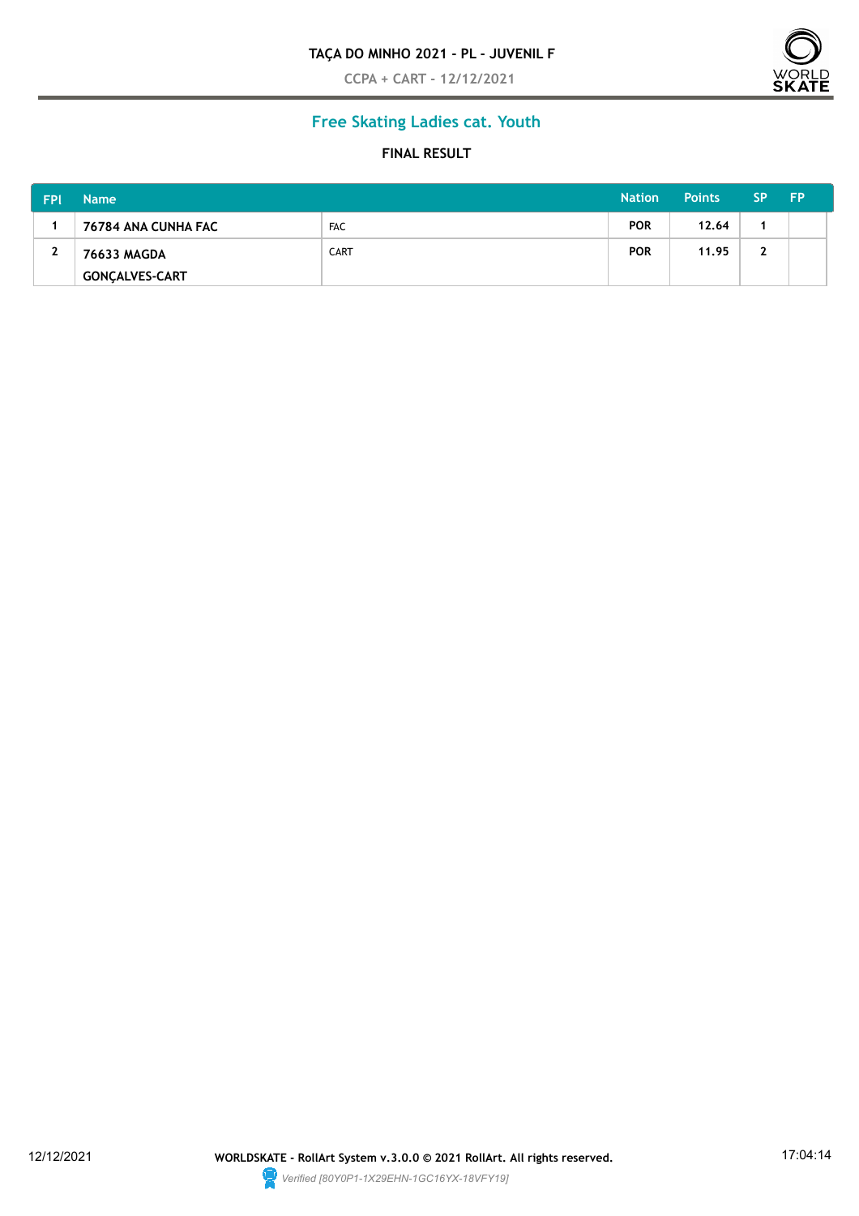#### **TAÇA DO MINHO 2021 - PL - JUVENIL F**

**CCPA + CART - 12/12/2021**



# **Free Skating Ladies cat. Youth**

#### **FINAL RESULT**

| <b>FPI</b> | <b>Name</b>           |             | <b>Nation</b> | Points | <b>SP</b> | <b>FP</b> |
|------------|-----------------------|-------------|---------------|--------|-----------|-----------|
|            | 76784 ANA CUNHA FAC   | <b>FAC</b>  | <b>POR</b>    | 12.64  |           |           |
| 2          | 76633 MAGDA           | <b>CART</b> | <b>POR</b>    | 11.95  | 2         |           |
|            | <b>GONCALVES-CART</b> |             |               |        |           |           |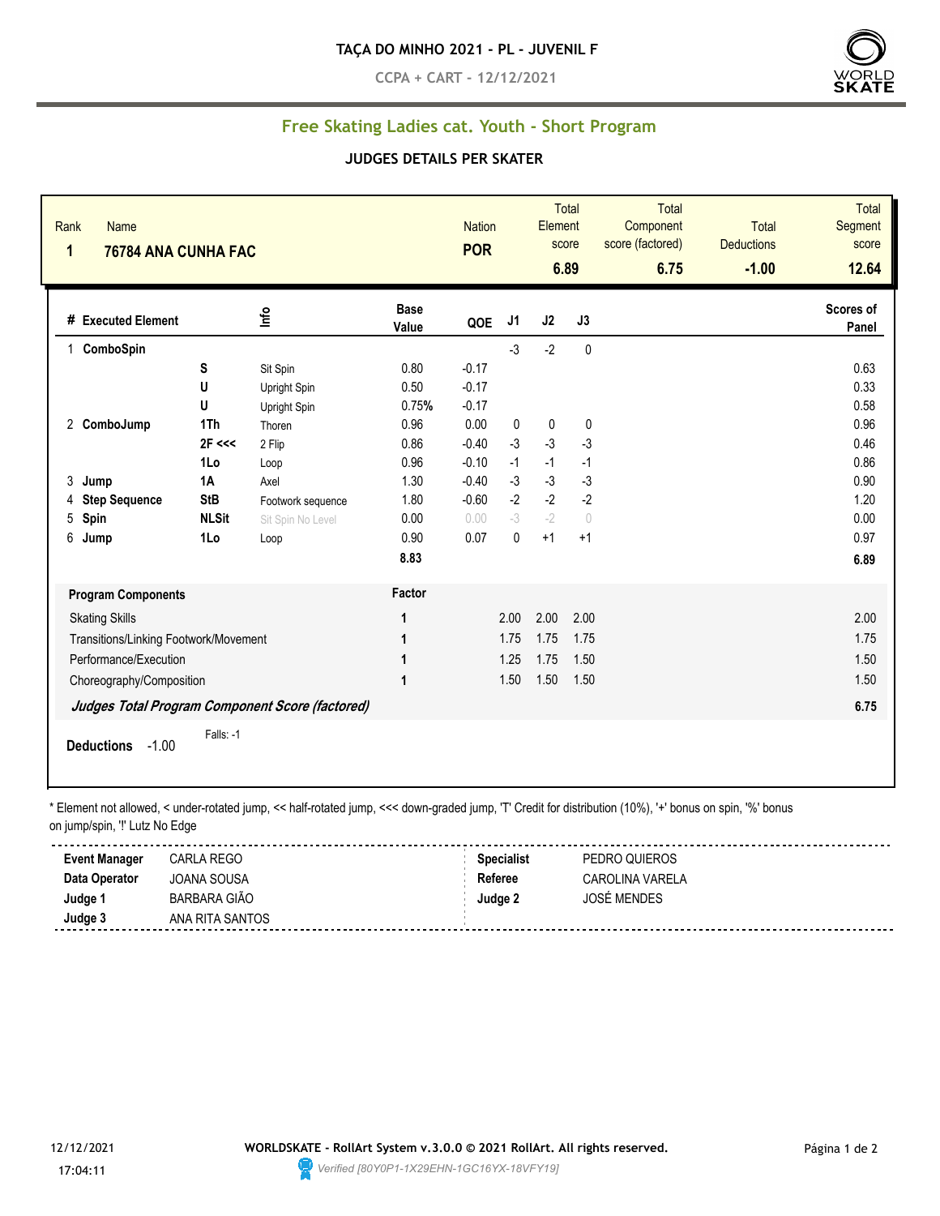**CCPA + CART - 12/12/2021**



## **Free Skating Ladies cat. Youth - Short Program**

#### **JUDGES DETAILS PER SKATER**

| Rank<br>$\mathbf{1}$ | <b>Name</b><br>76784 ANA CUNHA FAC    |              |                                                 |                      | <b>Nation</b><br><b>POR</b> |      | Element | <b>Total</b><br>score<br>6.89    | <b>Total</b><br>Component<br>score (factored)<br>6.75 | Total<br><b>Deductions</b><br>$-1.00$ | <b>Total</b><br><b>Segment</b><br>score<br>12.64 |
|----------------------|---------------------------------------|--------------|-------------------------------------------------|----------------------|-----------------------------|------|---------|----------------------------------|-------------------------------------------------------|---------------------------------------|--------------------------------------------------|
|                      | # Executed Element                    |              | lnfo                                            | <b>Base</b><br>Value | QOE                         | J1   | J2      | J3                               |                                                       |                                       | Scores of<br>Panel                               |
| 1                    | ComboSpin                             |              |                                                 |                      |                             | $-3$ | $-2$    | $\pmb{0}$                        |                                                       |                                       |                                                  |
|                      |                                       | S            | Sit Spin                                        | 0.80                 | $-0.17$                     |      |         |                                  |                                                       |                                       | 0.63                                             |
|                      |                                       | U            | Upright Spin                                    | 0.50                 | $-0.17$                     |      |         |                                  |                                                       |                                       | 0.33                                             |
|                      |                                       | U            | Upright Spin                                    | 0.75%                | $-0.17$                     |      |         |                                  |                                                       |                                       | 0.58                                             |
|                      | 2 ComboJump                           | 1Th          | Thoren                                          | 0.96                 | 0.00                        | 0    | 0       | 0                                |                                                       |                                       | 0.96                                             |
|                      |                                       | 2F <<        | 2 Flip                                          | 0.86                 | $-0.40$                     | $-3$ | $-3$    | $-3$                             |                                                       |                                       | 0.46                                             |
|                      |                                       | 1Lo          | Loop                                            | 0.96                 | $-0.10$                     | $-1$ | $-1$    | $-1$                             |                                                       |                                       | 0.86                                             |
| 3                    | Jump                                  | 1A           | Axel                                            | 1.30                 | $-0.40$                     | $-3$ | $-3$    | $-3$                             |                                                       |                                       | 0.90                                             |
| 4                    | <b>Step Sequence</b>                  | <b>StB</b>   | Footwork sequence                               | 1.80                 | $-0.60$                     | $-2$ | $-2$    | $-2$                             |                                                       |                                       | 1.20                                             |
| 5                    | Spin                                  | <b>NLSit</b> | Sit Spin No Level                               | 0.00                 | 0.00                        | $-3$ | $-2$    | $\begin{array}{c} \n\end{array}$ |                                                       |                                       | 0.00                                             |
| 6                    | Jump                                  | 1Lo          | Loop                                            | 0.90                 | 0.07                        | 0    | $+1$    | $+1$                             |                                                       |                                       | 0.97                                             |
|                      |                                       |              |                                                 | 8.83                 |                             |      |         |                                  |                                                       |                                       | 6.89                                             |
|                      | <b>Program Components</b>             |              |                                                 | Factor               |                             |      |         |                                  |                                                       |                                       |                                                  |
|                      | <b>Skating Skills</b>                 |              |                                                 | 1                    |                             | 2.00 | 2.00    | 2.00                             |                                                       |                                       | 2.00                                             |
|                      | Transitions/Linking Footwork/Movement |              |                                                 | 1                    |                             | 1.75 | 1.75    | 1.75                             |                                                       |                                       | 1.75                                             |
|                      | Performance/Execution                 |              |                                                 | 1                    |                             | 1.25 | 1.75    | 1.50                             |                                                       |                                       | 1.50                                             |
|                      | Choreography/Composition              |              |                                                 | 1                    |                             | 1.50 | 1.50    | 1.50                             |                                                       |                                       | 1.50                                             |
|                      |                                       |              | Judges Total Program Component Score (factored) |                      |                             |      |         |                                  |                                                       |                                       | 6.75                                             |
|                      | $-1.00$<br><b>Deductions</b>          | Falls: -1    |                                                 |                      |                             |      |         |                                  |                                                       |                                       |                                                  |

\* Element not allowed, < under-rotated jump, << half-rotated jump, <<< down-graded jump, 'T' Credit for distribution (10%), '+' bonus on spin, '%' bonus on jump/spin, "!' Lutz No Edge

| <b>Event Manager</b> | CARLA REGO      | <b>Specialist</b> | PEDRO QUIEROS   |
|----------------------|-----------------|-------------------|-----------------|
| Data Operator        | JOANA SOUSA     | Referee           | CAROLINA VARELA |
| Judge 1              | BARBARA GIÃO    | Judge 2           | JOSÉ MENDES     |
| Judge 3              | ANA RITA SANTOS |                   |                 |